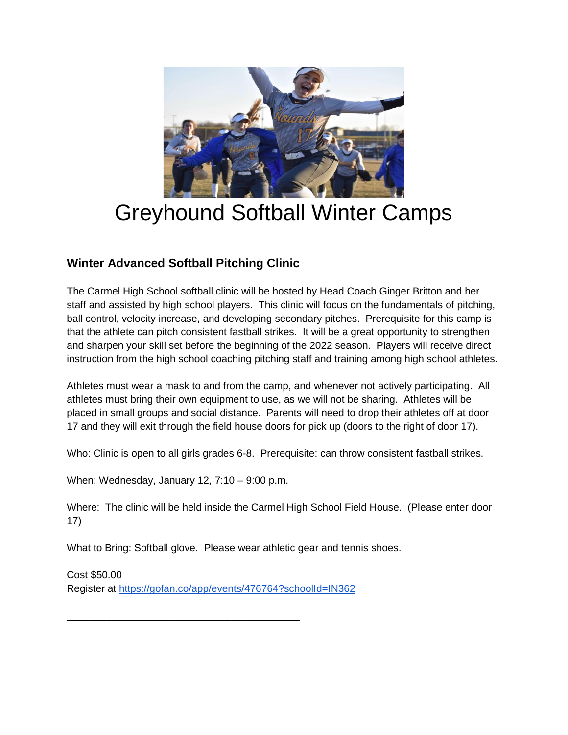

## Greyhound Softball Winter Camps

## **Winter Advanced Softball Pitching Clinic**

The Carmel High School softball clinic will be hosted by Head Coach Ginger Britton and her staff and assisted by high school players. This clinic will focus on the fundamentals of pitching, ball control, velocity increase, and developing secondary pitches. Prerequisite for this camp is that the athlete can pitch consistent fastball strikes. It will be a great opportunity to strengthen and sharpen your skill set before the beginning of the 2022 season. Players will receive direct instruction from the high school coaching pitching staff and training among high school athletes.

Athletes must wear a mask to and from the camp, and whenever not actively participating. All athletes must bring their own equipment to use, as we will not be sharing. Athletes will be placed in small groups and social distance. Parents will need to drop their athletes off at door 17 and they will exit through the field house doors for pick up (doors to the right of door 17).

Who: Clinic is open to all girls grades 6-8. Prerequisite: can throw consistent fastball strikes.

When: Wednesday, January 12, 7:10 – 9:00 p.m.

\_\_\_\_\_\_\_\_\_\_\_\_\_\_\_\_\_\_\_\_\_\_\_\_\_\_\_\_\_\_\_\_\_\_\_\_\_\_\_\_\_

Where: The clinic will be held inside the Carmel High School Field House. (Please enter door 17)

What to Bring: Softball glove. Please wear athletic gear and tennis shoes.

Cost \$50.00 Register at<https://gofan.co/app/events/476764?schoolId=IN362>